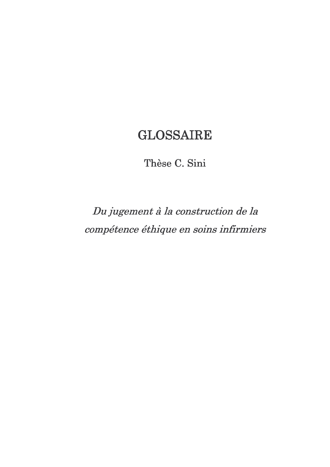# **GLOSSAIRE**

Thèse C. Sini

Du jugement à la construction de la compétence éthique en soins infirmiers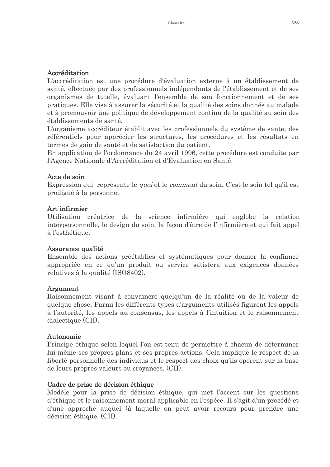#### Accréditation

L'accréditation est une procédure d'évaluation externe à un établissement de santé, effectuée par des professionnels indépendants de l'établissement et de ses organismes de tutelle, évaluant l'ensemble de son fonctionnement et de ses pratiques. Elle vise à assurer la sécurité et la qualité des soins donnés au malade et à promouvoir une politique de développement continu de la qualité au sein des établissements de santé.

L'organisme accréditeur établit avec les professionnels du système de santé, des référentiels pour apprécier les structures, les procédures et les résultats en termes de gain de santé et de satisfaction du patient.

En application de l'ordonnance du 24 avril 1996, cette procédure est conduite par l'Agence Nationale d'Accréditation et d'Évaluation en Santé.

#### Acte de soin

Expression qui représente le *quoi* et le *comment* du soin. C'est le soin tel qu'il est prodigué à la personne.

#### Art infirmier

Utilisation créatrice de la science infirmière qui englobe la relation interpersonnelle, le design du soin, la façon d'être de l'infirmière et qui fait appel à l'esthétique.

#### Assurance qualité

Ensemble des actions préétablies et systématiques pour donner la confiance appropriée en ce qu'un produit ou service satisfera aux exigences données relatives à la qualité (ISO8402).

#### Argument

Raisonnement visant à convaincre quelqu'un de la réalité ou de la valeur de quelque chose. Parmi les différents types d'arguments utilisés figurent les appels à l'autorité, les appels au consensus, les appels à l'intuition et le raisonnement dialectique (CII).

#### Autonomie

Principe éthique selon lequel l'on est tenu de permettre à chacun de déterminer lui-même ses propres plans et ses propres actions. Cela implique le respect de la liberté personnelle des individus et le respect des choix qu'ils opèrent sur la base de leurs propres valeurs ou croyances. (CII).

#### Cadre de prise de décision éthique

Modèle pour la prise de décision éthique, qui met l'accent sur les questions d'éthique et le raisonnement moral applicable en l'espèce. Il s'agit d'un procédé et d'une approche auquel (à laquelle on peut avoir recours pour prendre une décision éthique. (CII).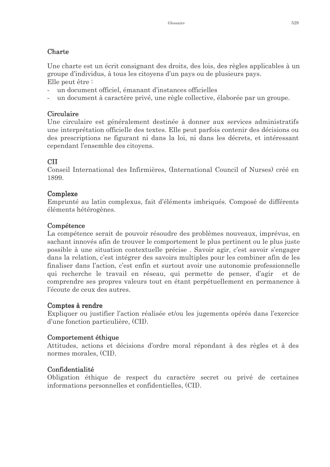#### Charte

Une charte est un écrit consignant des droits, des lois, des règles applicables à un groupe d'individus, à tous les citoyens d'un pays ou de plusieurs pays. Elle peut être :

- un document officiel, émanant d'instances officielles
- un document à caractère privé, une règle collective, élaborée par un groupe.

#### Circulaire

Une circulaire est généralement destinée à donner aux services administratifs une interprétation officielle des textes. Elle peut parfois contenir des décisions ou des prescriptions ne figurant ni dans la loi, ni dans les décrets, et intéressant cependant l'ensemble des citoyens.

#### **CII**

Conseil International des Infirmières, (International Council of Nurses) créé en 1899.

#### Complexe

Emprunté au latin complexus, fait d'éléments imbriqués. Composé de différents éléments hétérogènes.

#### Compétence

La compétence serait de pouvoir résoudre des problèmes nouveaux, imprévus, en sachant innovés afin de trouver le comportement le plus pertinent ou le plus juste possible à une situation contextuelle précise. Savoir agir, c'est savoir s'engager dans la relation, c'est intégrer des savoirs multiples pour les combiner afin de les finaliser dans l'action, c'est enfin et surtout avoir une autonomie professionnelle qui recherche le travail en réseau, qui permette de penser, d'agir et de comprendre ses propres valeurs tout en étant perpétuellement en permanence à l'écoute de ceux des autres.

#### Comptes à rendre

Expliquer ou justifier l'action réalisée et/ou les jugements opérés dans l'exercice d'une fonction particulière, *(CII)*.

#### Comportement éthique

Attitudes, actions et décisions d'ordre moral répondant à des règles et à des normes morales. (CII).

#### Confidentialité

Obligation éthique de respect du caractère secret ou privé de certaines informations personnelles et confidentielles. (CII).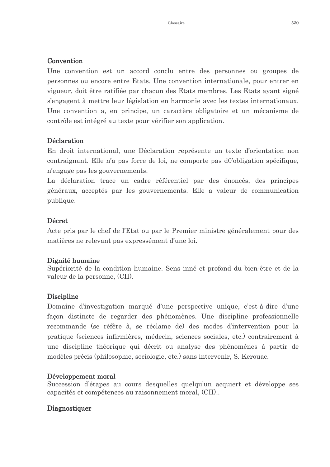#### Convention

Une convention est un accord conclu entre des personnes ou groupes de personnes ou encore entre Etats. Une convention internationale, pour entrer en vigueur, doit être ratifiée par chacun des Etats membres. Les Etats ayant signé s'engagent à mettre leur législation en harmonie avec les textes internationaux. Une convention a, en principe, un caractère obligatoire et un mécanisme de contrôle est intégré au texte pour vérifier son application.

#### Déclaration

En droit international, une Déclaration représente un texte d'orientation non contraignant. Elle n'a pas force de loi, ne comporte pas d0'obligation spécifique, n'engage pas les gouvernements.

La déclaration trace un cadre référentiel par des énoncés, des principes généraux, acceptés par les gouvernements. Elle a valeur de communication publique.

#### Décret

Acte pris par le chef de l'Etat ou par le Premier ministre généralement pour des matières ne relevant pas expressément d'une loi.

#### Dignité humaine

Supériorité de la condition humaine. Sens inné et profond du bien-être et de la valeur de la personne, (CII).

#### **Discipline**

Domaine d'investigation marqué d'une perspective unique, c'est-à-dire d'une façon distincte de regarder des phénomènes. Une discipline professionnelle recommande (se réfère à, se réclame de) des modes d'intervention pour la pratique (sciences infirmières, médecin, sciences sociales, etc.) contrairement à une discipline théorique qui décrit ou analyse des phénomènes à partir de modèles précis (philosophie, sociologie, etc.) sans intervenir, S. Kerouac.

#### Développement moral

Succession d'étapes au cours desquelles quelqu'un acquiert et développe ses capacités et compétences au raisonnement moral, (CII)...

#### Diagnostiquer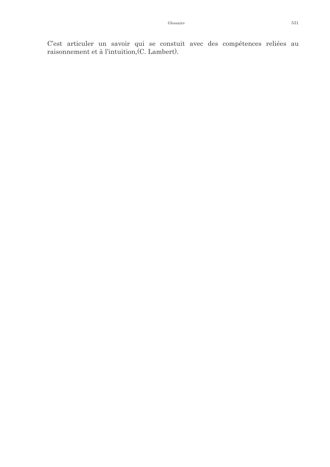C'est articuler un savoir qui se constuit avec des compétences reliées au raisonnement et à l'intuition, (C. Lambert).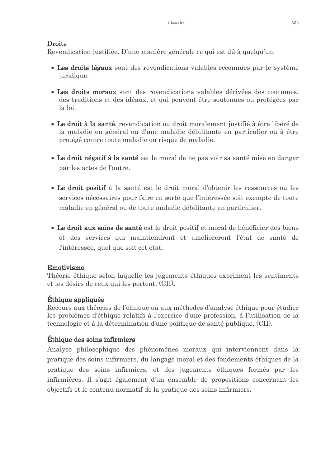#### **Droits**

Revendication justifiée. D'une manière générale ce qui est dû à quelqu'un.

- Les droits légaux sont des revendications valables reconnues par le système juridique.
- Les droits moraux sont des revendications valables dérivées des coutumes. des traditions et des idéaux, et qui peuvent être soutenues ou protégées par la loi.
- Le droit à la santé, revendication ou droit moralement justifié à être libéré de la maladie en général ou d'une maladie débilitante en particulier ou à être protégé contre toute maladie ou risque de maladie.
- Le droit négatif à la santé est le moral de ne pas voir sa santé mise en danger par les actes de l'autre.
- Le droit positif à la santé est le droit moral d'obtenir les ressources ou les services nécessaires pour faire en sorte que l'intéressée soit exempte de toute maladie en général ou de toute maladie débilitante en particulier.
- Le droit aux soins de santé est le droit positif et moral de bénéficier des biens et des services qui maintiendront et amélioreront l'état de santé de l'intéressée, quel que soit cet état.

### Emotivisme

Théorie éthique selon laquelle les jugements éthiques expriment les sentiments et les désirs de ceux qui les portent, (CII).

# **Ethique appliquée**

Recours aux théories de l'éthique ou aux méthodes d'analyse éthique pour étudier les problèmes d'éthique relatifs à l'exercice d'une profession, à l'utilisation de la technologie et à la détermination d'une politique de santé publique, (CII).

# **Ethique des soins infirmiers**

Analyse philosophique des phénomènes moraux qui interviennent dans la pratique des soins infirmiers, du langage moral et des fondements éthiques de la pratique des soins infirmiers, et des jugements éthiques formés par les infirmières. Il s'agit également d'un ensemble de propositions concernant les objectifs et le contenu normatif de la pratique des soins infirmiers.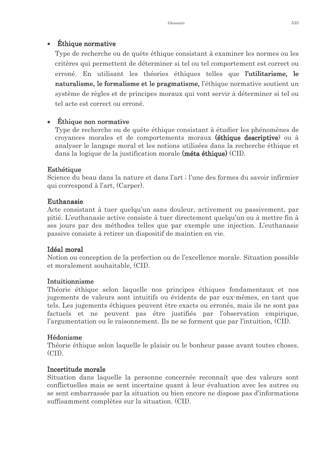#### • Éthique normative

Type de recherche ou de quête éthique consistant à examiner les normes ou les critères qui permettent de déterminer si tel ou tel comportement est correct ou erroné. En utilisant les théories éthiques telles que l'utilitarisme, le naturalisme, le formalisme et le pragmatisme, l'éthique normative soutient un système de règles et de principes moraux qui vont servir à déterminer si tel ou tel acte est correct ou erroné.

#### **Ethique non normative**  $\bullet$

Type de recherche ou de quête éthique consistant à étudier les phénomènes de croyances morales et de comportements moraux (éthique descriptive) ou à analyser le langage moral et les notions utilisées dans la recherche éthique et dans la logique de la justification morale (méta éthique) (CII).

#### Esthétique

Science du beau dans la nature et dans l'art ; l'une des formes du savoir infirmier qui correspond à l'art, (Carper).

#### Euthanasie

Acte consistant à tuer quelqu'un sans douleur, activement ou passivement, par pitié. L'euthanasie active consiste à tuer directement quelqu'un ou à mettre fin à ses jours par des méthodes telles que par exemple une injection. L'euthanasie passive consiste à retirer un dispositif de maintien en vie.

#### Idéal moral

Notion ou conception de la perfection ou de l'excellence morale. Situation possible et moralement souhaitable. (CII).

#### Intuitionnisme

Théorie éthique selon laquelle nos principes éthiques fondamentaux et nos jugements de valeurs sont intuitifs ou évidents de par eux-mêmes, en tant que tels. Les jugements éthiques peuvent être exacts ou erronés, mais ils ne sont pas factuels et ne peuvent pas être justifiés par l'observation empirique, l'argumentation ou le raisonnement. Ils ne se forment que par l'intuition, (CII).

#### Hédonisme

Théorie éthique selon laquelle le plaisir ou le bonheur passe avant toutes choses. (CII).

#### Incertitude morale

Situation dans laquelle la personne concernée reconnaît que des valeurs sont conflictuelles mais se sent incertaine quant à leur évaluation avec les autres ou se sent embarrassée par la situation ou bien encore ne dispose pas d'informations suffisamment complètes sur la situation. (CII).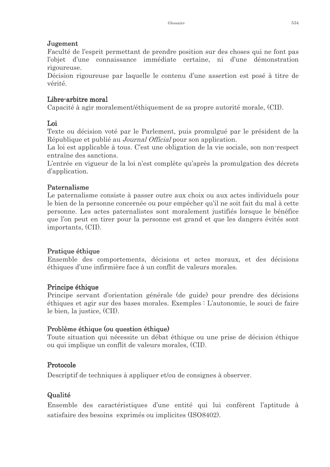#### Jugement

Faculté de l'esprit permettant de prendre position sur des choses qui ne font pas l'objet d'une connaissance immédiate certaine, ni d'une démonstration rigoureuse.

Décision rigoureuse par laquelle le contenu d'une assertion est posé à titre de vérité

### Libre-arbitre moral

Capacité à agir moralement/éthiquement de sa propre autorité morale, (CII).

## Loi

Texte ou décision voté par le Parlement, puis promulgué par le président de la République et publié au *Journal Official* pour son application.

La loi est applicable à tous. C'est une obligation de la vie sociale, son non-respect entraîne des sanctions.

L'entrée en vigueur de la loi n'est complète qu'après la promulgation des décrets d'application.

### Paternalisme

Le paternalisme consiste à passer outre aux choix ou aux actes individuels pour le bien de la personne concernée ou pour empêcher qu'il ne soit fait du mal à cette personne. Les actes paternalistes sont moralement justifiés lorsque le bénéfice que l'on peut en tirer pour la personne est grand et que les dangers évités sont importants, (CII).

### Pratique éthique

Ensemble des comportements, décisions et actes moraux, et des décisions éthiques d'une infirmière face à un conflit de valeurs morales.

### Principe éthique

Principe servant d'orientation générale (de guide) pour prendre des décisions éthiques et agir sur des bases morales. Exemples : L'autonomie, le souci de faire le bien, la justice, (CII).

### Problème éthique (ou question éthique)

Toute situation qui nécessite un débat éthique ou une prise de décision éthique ou qui implique un conflit de valeurs morales, (CII).

# Protocole

Descriptif de techniques à appliquer et/ou de consignes à observer.

# Qualité

Ensemble des caractéristiques d'une entité qui lui confèrent l'aptitude à satisfaire des besoins exprimés ou implicites (ISO8402).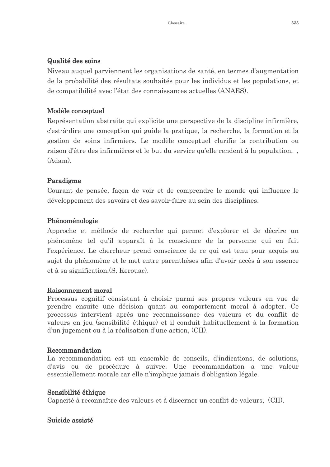#### Qualité des soins

Niveau auguel parviennent les organisations de santé, en termes d'augmentation de la probabilité des résultats souhaités pour les individus et les populations, et de compatibilité avec l'état des connaissances actuelles (ANAES).

#### Modèle conceptuel

Représentation abstraite qui explicite une perspective de la discipline infirmière, c'est-à-dire une conception qui guide la pratique, la recherche, la formation et la gestion de soins infirmiers. Le modèle conceptuel clarifie la contribution ou raison d'être des infirmières et le but du service qu'elle rendent à la population,,  $(Adam)$ 

#### Paradigme

Courant de pensée, façon de voir et de comprendre le monde qui influence le développement des savoirs et des savoir-faire au sein des disciplines.

#### Phénoménologie

Approche et méthode de recherche qui permet d'explorer et de décrire un phénomène tel qu'il apparaît à la conscience de la personne qui en fait l'expérience. Le chercheur prend conscience de ce qui est tenu pour acquis au sujet du phénomène et le met entre parenthèses afin d'avoir accès à son essence et à sa signification. (S. Kerouac).

#### Raisonnement moral

Processus cognitif consistant à choisir parmi ses propres valeurs en vue de prendre ensuite une décision quant au comportement moral à adopter. Ce processus intervient après une reconnaissance des valeurs et du conflit de valeurs en jeu (sensibilité éthique) et il conduit habituellement à la formation d'un jugement ou à la réalisation d'une action, (CII).

#### Recommandation

La recommandation est un ensemble de conseils, d'indications, de solutions, d'avis ou de procédure à suivre. Une recommandation a une valeur essentiellement morale car elle n'implique jamais d'obligation légale.

#### Sensibilité éthique

Capacité à reconnaître des valeurs et à discerner un conflit de valeurs, (CII).

#### Suicide assisté